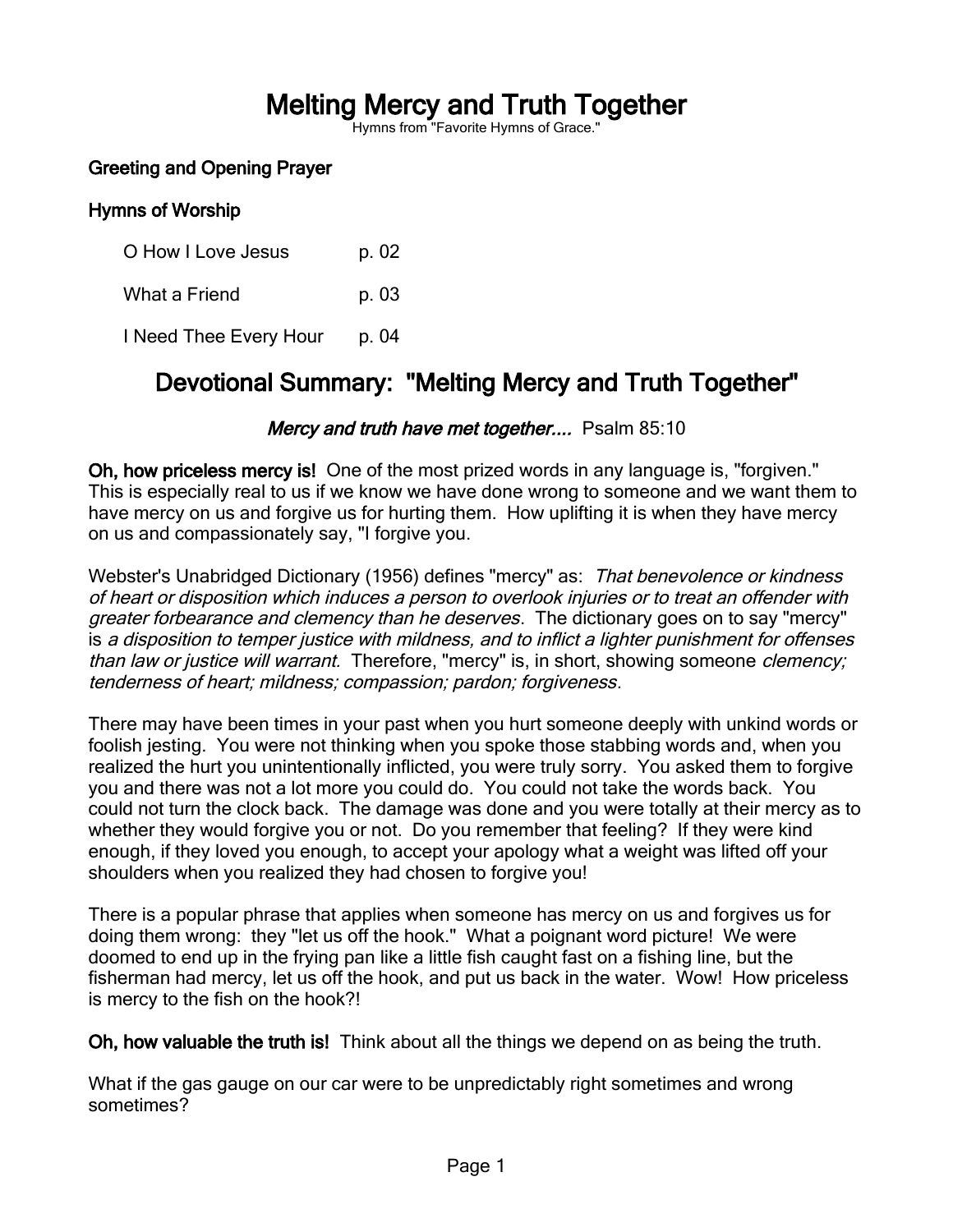# Melting Mercy and Truth Together

Hymns from "Favorite Hymns of Grace."

# Greeting and Opening Prayer

#### Hymns of Worship

O How I Love Jesus p. 02 What a Friend p. 03 I Need Thee Every Hour p. 04

# Devotional Summary: "Melting Mercy and Truth Together"

#### Mercy and truth have met together.... Psalm 85:10

Oh, how priceless mercy is! One of the most prized words in any language is, "forgiven." This is especially real to us if we know we have done wrong to someone and we want them to have mercy on us and forgive us for hurting them. How uplifting it is when they have mercy on us and compassionately say, "I forgive you.

Webster's Unabridged Dictionary (1956) defines "mercy" as: That benevolence or kindness of heart or disposition which induces a person to overlook injuries or to treat an offender with greater forbearance and clemency than he deserves. The dictionary goes on to say "mercy" is a disposition to temper justice with mildness, and to inflict a lighter punishment for offenses than law or justice will warrant. Therefore, "mercy" is, in short, showing someone clemency; tenderness of heart; mildness; compassion; pardon; forgiveness.

There may have been times in your past when you hurt someone deeply with unkind words or foolish jesting. You were not thinking when you spoke those stabbing words and, when you realized the hurt you unintentionally inflicted, you were truly sorry. You asked them to forgive you and there was not a lot more you could do. You could not take the words back. You could not turn the clock back. The damage was done and you were totally at their mercy as to whether they would forgive you or not. Do you remember that feeling? If they were kind enough, if they loved you enough, to accept your apology what a weight was lifted off your shoulders when you realized they had chosen to forgive you!

There is a popular phrase that applies when someone has mercy on us and forgives us for doing them wrong: they "let us off the hook." What a poignant word picture! We were doomed to end up in the frying pan like a little fish caught fast on a fishing line, but the fisherman had mercy, let us off the hook, and put us back in the water. Wow! How priceless is mercy to the fish on the hook?!

Oh, how valuable the truth is! Think about all the things we depend on as being the truth.

What if the gas gauge on our car were to be unpredictably right sometimes and wrong sometimes?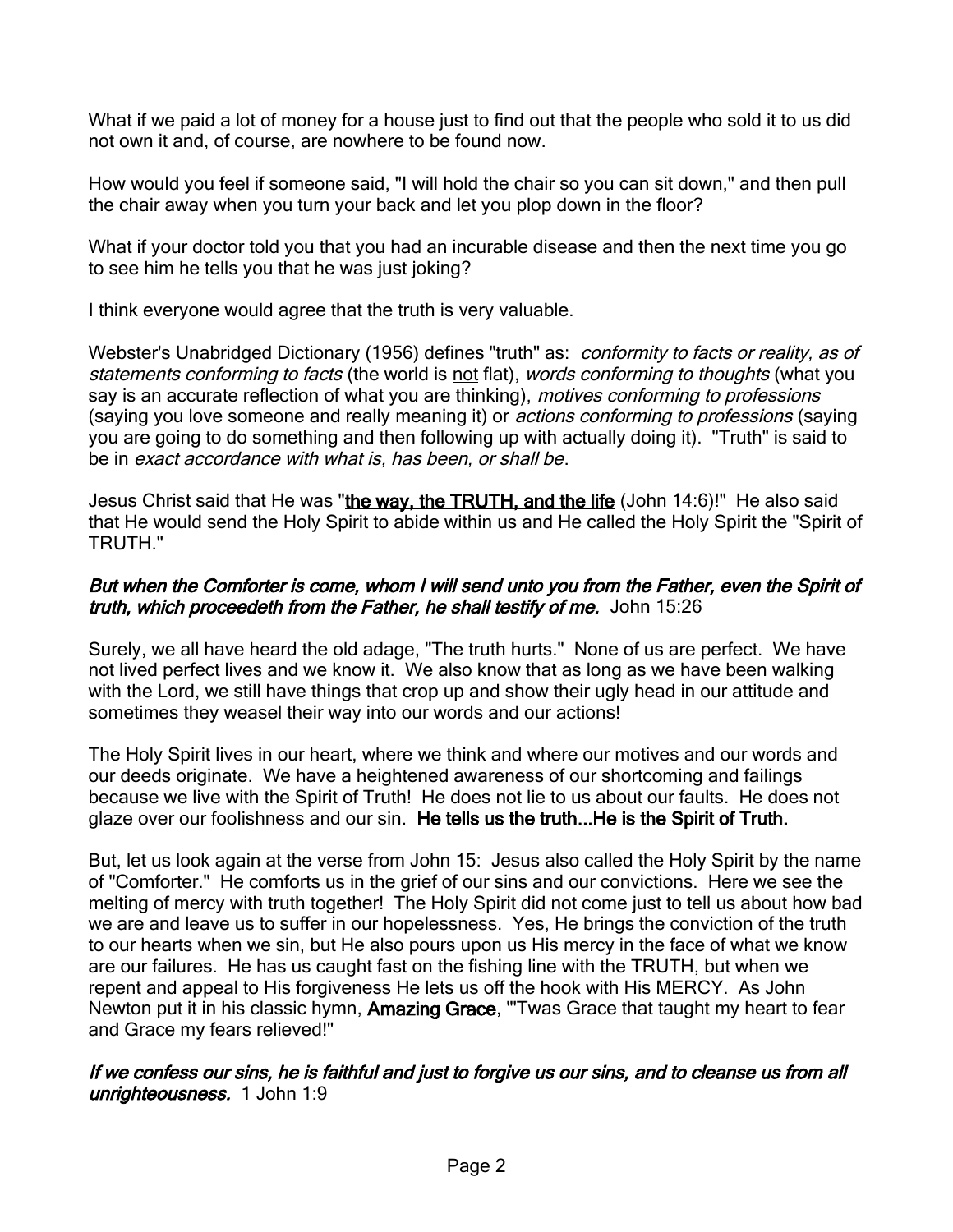What if we paid a lot of money for a house just to find out that the people who sold it to us did not own it and, of course, are nowhere to be found now.

How would you feel if someone said, "I will hold the chair so you can sit down," and then pull the chair away when you turn your back and let you plop down in the floor?

What if your doctor told you that you had an incurable disease and then the next time you go to see him he tells you that he was just joking?

I think everyone would agree that the truth is very valuable.

Webster's Unabridged Dictionary (1956) defines "truth" as: conformity to facts or reality, as of statements conforming to facts (the world is not flat), words conforming to thoughts (what you say is an accurate reflection of what you are thinking), motives conforming to professions (saying you love someone and really meaning it) or *actions conforming to professions* (saying you are going to do something and then following up with actually doing it). "Truth" is said to be in exact accordance with what is, has been, or shall be.

Jesus Christ said that He was "the way, the TRUTH, and the life (John 14:6)!" He also said that He would send the Holy Spirit to abide within us and He called the Holy Spirit the "Spirit of TRUTH."

# But when the Comforter is come, whom I will send unto you from the Father, even the Spirit of truth, which proceedeth from the Father, he shall testify of me. John 15:26

Surely, we all have heard the old adage, "The truth hurts." None of us are perfect. We have not lived perfect lives and we know it. We also know that as long as we have been walking with the Lord, we still have things that crop up and show their ugly head in our attitude and sometimes they weasel their way into our words and our actions!

The Holy Spirit lives in our heart, where we think and where our motives and our words and our deeds originate. We have a heightened awareness of our shortcoming and failings because we live with the Spirit of Truth! He does not lie to us about our faults. He does not glaze over our foolishness and our sin. He tells us the truth...He is the Spirit of Truth.

But, let us look again at the verse from John 15: Jesus also called the Holy Spirit by the name of "Comforter." He comforts us in the grief of our sins and our convictions. Here we see the melting of mercy with truth together! The Holy Spirit did not come just to tell us about how bad we are and leave us to suffer in our hopelessness. Yes, He brings the conviction of the truth to our hearts when we sin, but He also pours upon us His mercy in the face of what we know are our failures. He has us caught fast on the fishing line with the TRUTH, but when we repent and appeal to His forgiveness He lets us off the hook with His MERCY. As John Newton put it in his classic hymn, Amazing Grace, "Twas Grace that taught my heart to fear and Grace my fears relieved!"

# If we confess our sins, he is faithful and just to forgive us our sins, and to cleanse us from all unrighteousness. 1 John 1:9